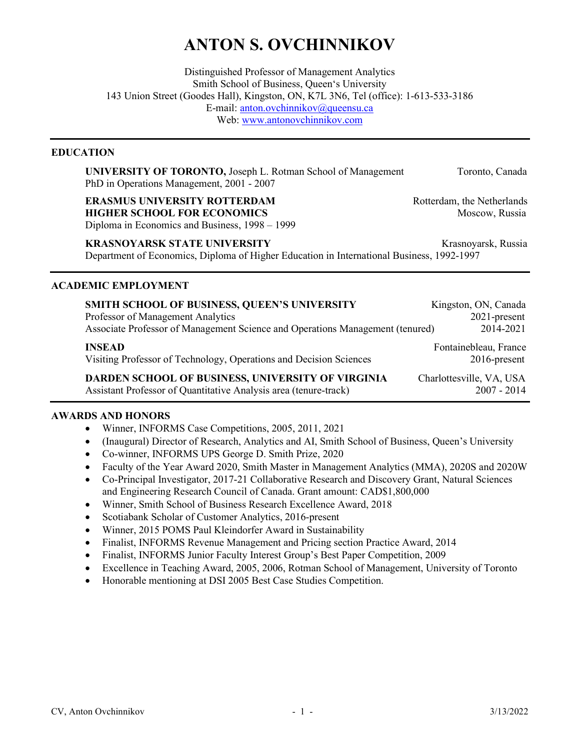# ANTON S. OVCHINNIKOV

Distinguished Professor of Management Analytics Smith School of Business, Queen's University 143 Union Street (Goodes Hall), Kingston, ON, K7L 3N6, Tel (office): 1-613-533-3186 E-mail: anton.ovchinnikov@queensu.ca Web: www.antonovchinnikov.com

#### EDUCATION

UNIVERSITY OF TORONTO, Joseph L. Rotman School of Management Toronto, Canada PhD in Operations Management, 2001 - 2007

**ERASMUS UNIVERSITY ROTTERDAM** Rotterdam, the Netherlands **HIGHER SCHOOL FOR ECONOMICS** MOSCOW, Russia Diploma in Economics and Business, 1998 – 1999

KRASNOYARSK STATE UNIVERSITY Krasnoyarsk, Russia Department of Economics, Diploma of Higher Education in International Business, 1992-1997

#### ACADEMIC EMPLOYMENT

| SMITH SCHOOL OF BUSINESS, QUEEN'S UNIVERSITY                                  | Kingston, ON, Canada     |
|-------------------------------------------------------------------------------|--------------------------|
| Professor of Management Analytics                                             | 2021-present             |
| Associate Professor of Management Science and Operations Management (tenured) | 2014-2021                |
| <b>INSEAD</b>                                                                 | Fontainebleau, France    |
| Visiting Professor of Technology, Operations and Decision Sciences            | $2016$ -present          |
| DARDEN SCHOOL OF BUSINESS, UNIVERSITY OF VIRGINIA                             | Charlottesville, VA, USA |
| Assistant Professor of Quantitative Analysis area (tenure-track)              | $2007 - 2014$            |

#### AWARDS AND HONORS

- Winner, INFORMS Case Competitions, 2005, 2011, 2021
- (Inaugural) Director of Research, Analytics and AI, Smith School of Business, Queen's University
- Co-winner, INFORMS UPS George D. Smith Prize, 2020
- Faculty of the Year Award 2020, Smith Master in Management Analytics (MMA), 2020S and 2020W
- Co-Principal Investigator, 2017-21 Collaborative Research and Discovery Grant, Natural Sciences and Engineering Research Council of Canada. Grant amount: CAD\$1,800,000
- Winner, Smith School of Business Research Excellence Award, 2018
- Scotiabank Scholar of Customer Analytics, 2016-present
- Winner, 2015 POMS Paul Kleindorfer Award in Sustainability
- Finalist, INFORMS Revenue Management and Pricing section Practice Award, 2014
- Finalist, INFORMS Junior Faculty Interest Group's Best Paper Competition, 2009
- Excellence in Teaching Award, 2005, 2006, Rotman School of Management, University of Toronto
- Honorable mentioning at DSI 2005 Best Case Studies Competition.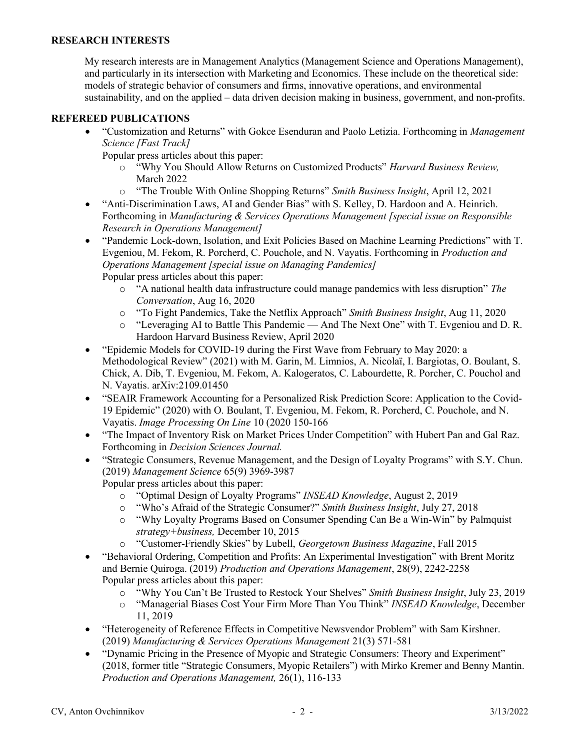#### RESEARCH INTERESTS

My research interests are in Management Analytics (Management Science and Operations Management), and particularly in its intersection with Marketing and Economics. These include on the theoretical side: models of strategic behavior of consumers and firms, innovative operations, and environmental sustainability, and on the applied – data driven decision making in business, government, and non-profits.

#### REFEREED PUBLICATIONS

- "Customization and Returns" with Gokce Esenduran and Paolo Letizia. Forthcoming in *Management* Science [Fast Track]
	- Popular press articles about this paper:
		- o "Why You Should Allow Returns on Customized Products" Harvard Business Review, March 2022
		- o "The Trouble With Online Shopping Returns" Smith Business Insight, April 12, 2021
- "Anti-Discrimination Laws, AI and Gender Bias" with S. Kelley, D. Hardoon and A. Heinrich. Forthcoming in Manufacturing & Services Operations Management [special issue on Responsible Research in Operations Management]
- "Pandemic Lock-down, Isolation, and Exit Policies Based on Machine Learning Predictions" with T. Evgeniou, M. Fekom, R. Porcherd, C. Pouchole, and N. Vayatis. Forthcoming in Production and Operations Management [special issue on Managing Pandemics] Popular press articles about this paper:
	- $\circ$  "A national health data infrastructure could manage pandemics with less disruption" The Conversation, Aug 16, 2020
	- o "To Fight Pandemics, Take the Netflix Approach" Smith Business Insight, Aug 11, 2020
	- o "Leveraging AI to Battle This Pandemic And The Next One" with T. Evgeniou and D. R. Hardoon Harvard Business Review, April 2020
- "Epidemic Models for COVID-19 during the First Wave from February to May 2020: a Methodological Review" (2021) with M. Garin, M. Limnios, A. Nicolaï, I. Bargiotas, O. Boulant, S. Chick, A. Dib, T. Evgeniou, M. Fekom, A. Kalogeratos, C. Labourdette, R. Porcher, C. Pouchol and N. Vayatis. arXiv:2109.01450
- "SEAIR Framework Accounting for a Personalized Risk Prediction Score: Application to the Covid-19 Epidemic" (2020) with O. Boulant, T. Evgeniou, M. Fekom, R. Porcherd, C. Pouchole, and N. Vayatis. Image Processing On Line 10 (2020 150-166
- "The Impact of Inventory Risk on Market Prices Under Competition" with Hubert Pan and Gal Raz. Forthcoming in Decision Sciences Journal.
- "Strategic Consumers, Revenue Management, and the Design of Loyalty Programs" with S.Y. Chun. (2019) Management Science 65(9) 3969-3987
	- Popular press articles about this paper:
		- o "Optimal Design of Loyalty Programs" INSEAD Knowledge, August 2, 2019
		- o "Who's Afraid of the Strategic Consumer?" Smith Business Insight, July 27, 2018
		- o "Why Loyalty Programs Based on Consumer Spending Can Be a Win-Win" by Palmquist strategy+business, December 10, 2015
		- o "Customer-Friendly Skies" by Lubell, Georgetown Business Magazine, Fall 2015
- "Behavioral Ordering, Competition and Profits: An Experimental Investigation" with Brent Moritz and Bernie Quiroga. (2019) Production and Operations Management, 28(9), 2242-2258 Popular press articles about this paper:
	- o "Why You Can't Be Trusted to Restock Your Shelves" Smith Business Insight, July 23, 2019
	- o "Managerial Biases Cost Your Firm More Than You Think" INSEAD Knowledge, December 11, 2019
- "Heterogeneity of Reference Effects in Competitive Newsvendor Problem" with Sam Kirshner. (2019) Manufacturing & Services Operations Management 21(3) 571-581
- "Dynamic Pricing in the Presence of Myopic and Strategic Consumers: Theory and Experiment" (2018, former title "Strategic Consumers, Myopic Retailers") with Mirko Kremer and Benny Mantin. Production and Operations Management, 26(1), 116-133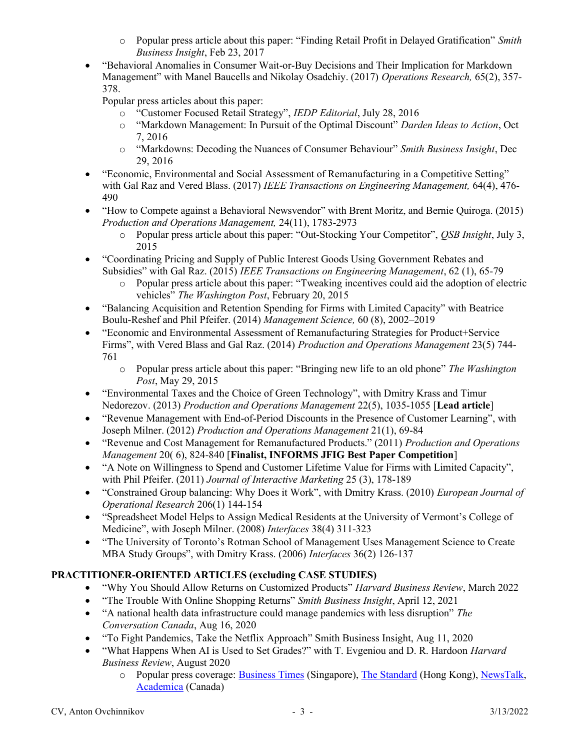- o Popular press article about this paper: "Finding Retail Profit in Delayed Gratification" Smith Business Insight, Feb 23, 2017
- "Behavioral Anomalies in Consumer Wait-or-Buy Decisions and Their Implication for Markdown Management" with Manel Baucells and Nikolay Osadchiy. (2017) Operations Research, 65(2), 357-378.

Popular press articles about this paper:

- o "Customer Focused Retail Strategy", IEDP Editorial, July 28, 2016
- o "Markdown Management: In Pursuit of the Optimal Discount" Darden Ideas to Action, Oct 7, 2016
- o "Markdowns: Decoding the Nuances of Consumer Behaviour" Smith Business Insight, Dec 29, 2016
- "Economic, Environmental and Social Assessment of Remanufacturing in a Competitive Setting" with Gal Raz and Vered Blass. (2017) IEEE Transactions on Engineering Management, 64(4), 476-490
- "How to Compete against a Behavioral Newsvendor" with Brent Moritz, and Bernie Quiroga. (2015) Production and Operations Management, 24(11), 1783-2973
	- o Popular press article about this paper: "Out-Stocking Your Competitor", *QSB Insight*, July 3, 2015
- "Coordinating Pricing and Supply of Public Interest Goods Using Government Rebates and Subsidies" with Gal Raz. (2015) IEEE Transactions on Engineering Management, 62 (1), 65-79
	- o Popular press article about this paper: "Tweaking incentives could aid the adoption of electric vehicles" The Washington Post, February 20, 2015
- "Balancing Acquisition and Retention Spending for Firms with Limited Capacity" with Beatrice Boulu-Reshef and Phil Pfeifer. (2014) Management Science, 60 (8), 2002–2019
- "Economic and Environmental Assessment of Remanufacturing Strategies for Product+Service Firms", with Vered Blass and Gal Raz. (2014) Production and Operations Management 23(5) 744- 761
	- $\circ$  Popular press article about this paper: "Bringing new life to an old phone" The Washington Post, May 29, 2015
- "Environmental Taxes and the Choice of Green Technology", with Dmitry Krass and Timur Nedorezov. (2013) Production and Operations Management 22(5), 1035-1055 [Lead article]
- "Revenue Management with End-of-Period Discounts in the Presence of Customer Learning", with Joseph Milner. (2012) Production and Operations Management 21(1), 69-84
- "Revenue and Cost Management for Remanufactured Products." (2011) Production and Operations Management 20(6), 824-840 [Finalist, INFORMS JFIG Best Paper Competition]
- "A Note on Willingness to Spend and Customer Lifetime Value for Firms with Limited Capacity", with Phil Pfeifer. (2011) Journal of Interactive Marketing 25 (3), 178-189
- "Constrained Group balancing: Why Does it Work", with Dmitry Krass. (2010) *European Journal of* Operational Research 206(1) 144-154
- "Spreadsheet Model Helps to Assign Medical Residents at the University of Vermont's College of Medicine", with Joseph Milner. (2008) Interfaces 38(4) 311-323
- "The University of Toronto's Rotman School of Management Uses Management Science to Create MBA Study Groups", with Dmitry Krass. (2006) Interfaces 36(2) 126-137

# PRACTITIONER-ORIENTED ARTICLES (excluding CASE STUDIES)

- "Why You Should Allow Returns on Customized Products" Harvard Business Review, March 2022
- "The Trouble With Online Shopping Returns" Smith Business Insight, April 12, 2021
- "A national health data infrastructure could manage pandemics with less disruption" The Conversation Canada, Aug 16, 2020
- "To Fight Pandemics, Take the Netflix Approach" Smith Business Insight, Aug 11, 2020
- "What Happens When AI is Used to Set Grades?" with T. Evgeniou and D. R. Hardoon Harvard Business Review, August 2020
	- o Popular press coverage: Business Times (Singapore), The Standard (Hong Kong), NewsTalk, Academica (Canada)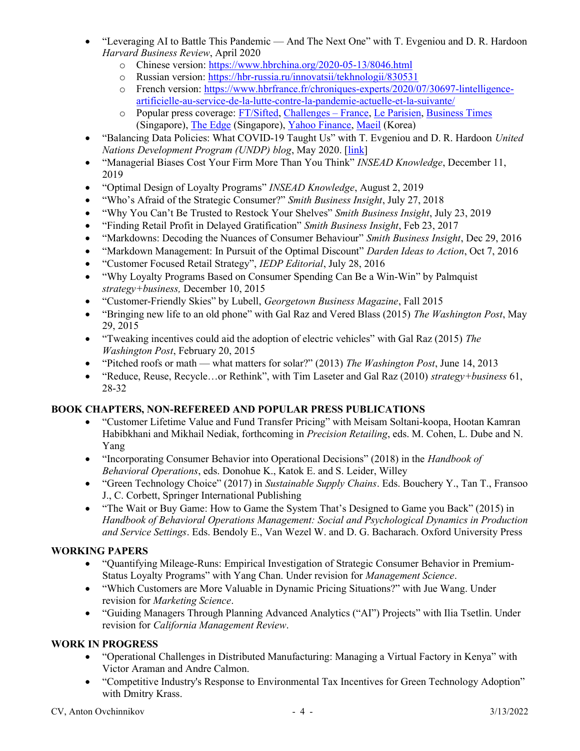- "Leveraging AI to Battle This Pandemic And The Next One" with T. Evgeniou and D. R. Hardoon Harvard Business Review, April 2020
	- o Chinese version: https://www.hbrchina.org/2020-05-13/8046.html
	- o Russian version: https://hbr-russia.ru/innovatsii/tekhnologii/830531
	- o French version: https://www.hbrfrance.fr/chroniques-experts/2020/07/30697-lintelligenceartificielle-au-service-de-la-lutte-contre-la-pandemie-actuelle-et-la-suivante/
	- o Popular press coverage: FT/Sifted, Challenges France, Le Parisien, Business Times (Singapore), The Edge (Singapore), Yahoo Finance, Maeil (Korea)
- "Balancing Data Policies: What COVID-19 Taught Us" with T. Evgeniou and D. R. Hardoon United Nations Development Program (UNDP) blog, May 2020. [link]
- "Managerial Biases Cost Your Firm More Than You Think" INSEAD Knowledge, December 11, 2019
- "Optimal Design of Loyalty Programs" *INSEAD Knowledge*, August 2, 2019
- "Who's Afraid of the Strategic Consumer?" Smith Business Insight, July 27, 2018
- "Why You Can't Be Trusted to Restock Your Shelves" Smith Business Insight, July 23, 2019
- "Finding Retail Profit in Delayed Gratification" Smith Business Insight, Feb 23, 2017
- "Markdowns: Decoding the Nuances of Consumer Behaviour" Smith Business Insight, Dec 29, 2016
- "Markdown Management: In Pursuit of the Optimal Discount" Darden Ideas to Action, Oct 7, 2016
- "Customer Focused Retail Strategy", IEDP Editorial, July 28, 2016
- "Why Loyalty Programs Based on Consumer Spending Can Be a Win-Win" by Palmquist strategy+business, December 10, 2015
- "Customer-Friendly Skies" by Lubell, Georgetown Business Magazine, Fall 2015
- **•** "Bringing new life to an old phone" with Gal Raz and Vered Blass (2015) The Washington Post, May 29, 2015
- "Tweaking incentives could aid the adoption of electric vehicles" with Gal Raz (2015) The Washington Post, February 20, 2015
- "Pitched roofs or math what matters for solar?" (2013) The Washington Post, June 14, 2013
- "Reduce, Reuse, Recycle…or Rethink", with Tim Laseter and Gal Raz (2010) strategy+business 61, 28-32

## BOOK CHAPTERS, NON-REFEREED AND POPULAR PRESS PUBLICATIONS

- "Customer Lifetime Value and Fund Transfer Pricing" with Meisam Soltani-koopa, Hootan Kamran Habibkhani and Mikhail Nediak, forthcoming in Precision Retailing, eds. M. Cohen, L. Dube and N. Yang
- "Incorporating Consumer Behavior into Operational Decisions" (2018) in the *Handbook of* Behavioral Operations, eds. Donohue K., Katok E. and S. Leider, Willey
- "Green Technology Choice" (2017) in Sustainable Supply Chains. Eds. Bouchery Y., Tan T., Fransoo J., C. Corbett, Springer International Publishing
- "The Wait or Buy Game: How to Game the System That's Designed to Game you Back" (2015) in Handbook of Behavioral Operations Management: Social and Psychological Dynamics in Production and Service Settings. Eds. Bendoly E., Van Wezel W. and D. G. Bacharach. Oxford University Press

## WORKING PAPERS

- "Quantifying Mileage-Runs: Empirical Investigation of Strategic Consumer Behavior in Premium-Status Loyalty Programs" with Yang Chan. Under revision for Management Science.
- "Which Customers are More Valuable in Dynamic Pricing Situations?" with Jue Wang. Under revision for Marketing Science.
- "Guiding Managers Through Planning Advanced Analytics ("AI") Projects" with Ilia Tsetlin. Under revision for California Management Review.

## WORK IN PROGRESS

- "Operational Challenges in Distributed Manufacturing: Managing a Virtual Factory in Kenya" with Victor Araman and Andre Calmon.
- "Competitive Industry's Response to Environmental Tax Incentives for Green Technology Adoption" with Dmitry Krass.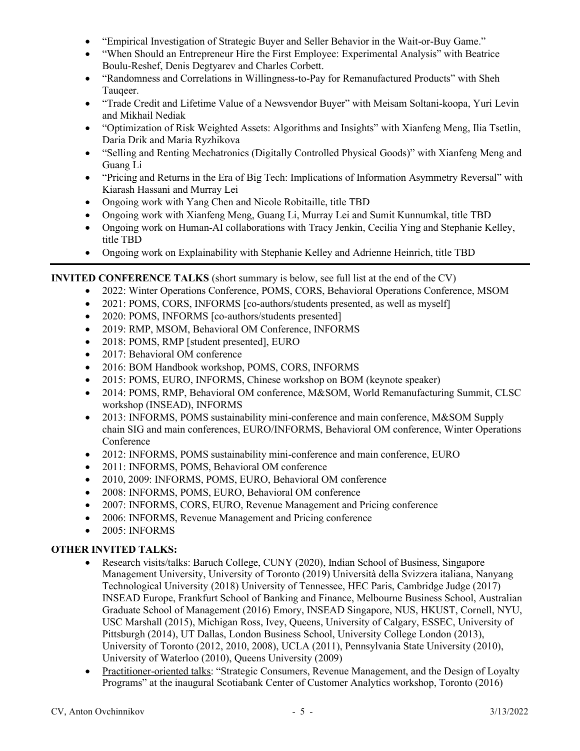- "Empirical Investigation of Strategic Buyer and Seller Behavior in the Wait-or-Buy Game."
- "When Should an Entrepreneur Hire the First Employee: Experimental Analysis" with Beatrice Boulu-Reshef, Denis Degtyarev and Charles Corbett.
- "Randomness and Correlations in Willingness-to-Pay for Remanufactured Products" with Sheh Taugeer.
- "Trade Credit and Lifetime Value of a Newsvendor Buyer" with Meisam Soltani-koopa, Yuri Levin and Mikhail Nediak
- "Optimization of Risk Weighted Assets: Algorithms and Insights" with Xianfeng Meng, Ilia Tsetlin, Daria Drik and Maria Ryzhikova
- "Selling and Renting Mechatronics (Digitally Controlled Physical Goods)" with Xianfeng Meng and Guang Li
- "Pricing and Returns in the Era of Big Tech: Implications of Information Asymmetry Reversal" with Kiarash Hassani and Murray Lei
- Ongoing work with Yang Chen and Nicole Robitaille, title TBD
- Ongoing work with Xianfeng Meng, Guang Li, Murray Lei and Sumit Kunnumkal, title TBD
- Ongoing work on Human-AI collaborations with Tracy Jenkin, Cecilia Ying and Stephanie Kelley, title TBD
- Ongoing work on Explainability with Stephanie Kelley and Adrienne Heinrich, title TBD

## INVITED CONFERENCE TALKS (short summary is below, see full list at the end of the CV)

- 2022: Winter Operations Conference, POMS, CORS, Behavioral Operations Conference, MSOM
- 2021: POMS, CORS, INFORMS [co-authors/students presented, as well as myself]
- 2020: POMS, INFORMS [co-authors/students presented]
- 2019: RMP, MSOM, Behavioral OM Conference, INFORMS
- 2018: POMS, RMP [student presented], EURO
- 2017: Behavioral OM conference
- 2016: BOM Handbook workshop, POMS, CORS, INFORMS
- 2015: POMS, EURO, INFORMS, Chinese workshop on BOM (keynote speaker)
- 2014: POMS, RMP, Behavioral OM conference, M&SOM, World Remanufacturing Summit, CLSC workshop (INSEAD), INFORMS
- 2013: INFORMS, POMS sustainability mini-conference and main conference, M&SOM Supply chain SIG and main conferences, EURO/INFORMS, Behavioral OM conference, Winter Operations Conference
- 2012: INFORMS, POMS sustainability mini-conference and main conference, EURO
- 2011: INFORMS, POMS, Behavioral OM conference
- 2010, 2009: INFORMS, POMS, EURO, Behavioral OM conference
- 2008: INFORMS, POMS, EURO, Behavioral OM conference
- 2007: INFORMS, CORS, EURO, Revenue Management and Pricing conference
- 2006: INFORMS, Revenue Management and Pricing conference
- 2005: INFORMS

## OTHER INVITED TALKS:

- Research visits/talks: Baruch College, CUNY (2020), Indian School of Business, Singapore Management University, University of Toronto (2019) Università della Svizzera italiana, Nanyang Technological University (2018) University of Tennessee, HEC Paris, Cambridge Judge (2017) INSEAD Europe, Frankfurt School of Banking and Finance, Melbourne Business School, Australian Graduate School of Management (2016) Emory, INSEAD Singapore, NUS, HKUST, Cornell, NYU, USC Marshall (2015), Michigan Ross, Ivey, Queens, University of Calgary, ESSEC, University of Pittsburgh (2014), UT Dallas, London Business School, University College London (2013), University of Toronto (2012, 2010, 2008), UCLA (2011), Pennsylvania State University (2010), University of Waterloo (2010), Queens University (2009)
- Practitioner-oriented talks: "Strategic Consumers, Revenue Management, and the Design of Loyalty Programs" at the inaugural Scotiabank Center of Customer Analytics workshop, Toronto (2016)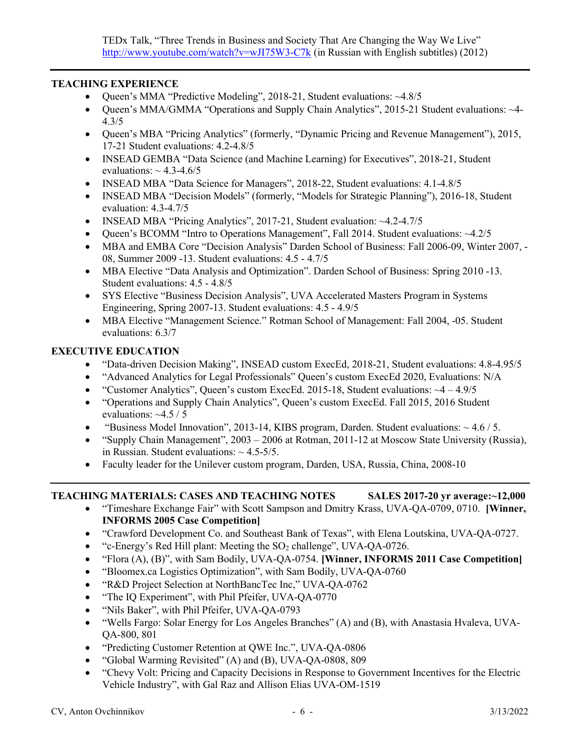#### TEACHING EXPERIENCE

- Queen's MMA "Predictive Modeling", 2018-21, Student evaluations: ~4.8/5
- Queen's MMA/GMMA "Operations and Supply Chain Analytics", 2015-21 Student evaluations: ~4- 4.3/5
- Queen's MBA "Pricing Analytics" (formerly, "Dynamic Pricing and Revenue Management"), 2015, 17-21 Student evaluations: 4.2-4.8/5
- INSEAD GEMBA "Data Science (and Machine Learning) for Executives", 2018-21, Student evaluations:  $\sim$  4.3-4.6/5
- INSEAD MBA "Data Science for Managers", 2018-22, Student evaluations: 4.1-4.8/5
- INSEAD MBA "Decision Models" (formerly, "Models for Strategic Planning"), 2016-18, Student evaluation: 4.3-4.7/5
- INSEAD MBA "Pricing Analytics", 2017-21, Student evaluation: ~4.2-4.7/5
- Queen's BCOMM "Intro to Operations Management", Fall 2014. Student evaluations: ~4.2/5
- MBA and EMBA Core "Decision Analysis" Darden School of Business: Fall 2006-09, Winter 2007, 08, Summer 2009 -13. Student evaluations: 4.5 - 4.7/5
- MBA Elective "Data Analysis and Optimization". Darden School of Business: Spring 2010 -13. Student evaluations: 4.5 - 4.8/5
- SYS Elective "Business Decision Analysis", UVA Accelerated Masters Program in Systems Engineering, Spring 2007-13. Student evaluations: 4.5 - 4.9/5
- MBA Elective "Management Science." Rotman School of Management: Fall 2004, -05. Student evaluations: 6.3/7

## EXECUTIVE EDUCATION

- "Data-driven Decision Making", INSEAD custom ExecEd, 2018-21, Student evaluations: 4.8-4.95/5
- "Advanced Analytics for Legal Professionals" Queen's custom ExecEd 2020, Evaluations: N/A
- "Customer Analytics", Queen's custom ExecEd. 2015-18, Student evaluations:  $\sim$ 4 4.9/5
- "Operations and Supply Chain Analytics", Queen's custom ExecEd. Fall 2015, 2016 Student evaluations: ~4.5 / 5
- **•** "Business Model Innovation", 2013-14, KIBS program, Darden. Student evaluations:  $\sim$  4.6 / 5.
- "Supply Chain Management",  $2003 2006$  at Rotman,  $2011 12$  at Moscow State University (Russia), in Russian. Student evaluations:  $\sim$  4.5-5/5.
- Faculty leader for the Unilever custom program, Darden, USA, Russia, China, 2008-10

## TEACHING MATERIALS: CASES AND TEACHING NOTES SALES 2017-20 yr average:~12,000

- "Timeshare Exchange Fair" with Scott Sampson and Dmitry Krass, UVA-QA-0709, 0710. [Winner, INFORMS 2005 Case Competition]
- "Crawford Development Co. and Southeast Bank of Texas", with Elena Loutskina, UVA-QA-0727.
- $\bullet$  "c-Energy's Red Hill plant: Meeting the SO<sub>2</sub> challenge", UVA-QA-0726.
- "Flora (A), (B)", with Sam Bodily, UVA-QA-0754. [Winner, INFORMS 2011 Case Competition]
- "Bloomex.ca Logistics Optimization", with Sam Bodily, UVA-QA-0760
- "R&D Project Selection at NorthBancTec Inc," UVA-QA-0762
- "The IQ Experiment", with Phil Pfeifer, UVA-QA-0770
- "Nils Baker", with Phil Pfeifer, UVA-QA-0793
- "Wells Fargo: Solar Energy for Los Angeles Branches" (A) and (B), with Anastasia Hvaleva, UVA-QA-800, 801
- "Predicting Customer Retention at QWE Inc.", UVA-QA-0806
- "Global Warming Revisited" (A) and (B), UVA-QA-0808, 809
- "Chevy Volt: Pricing and Capacity Decisions in Response to Government Incentives for the Electric Vehicle Industry", with Gal Raz and Allison Elias UVA-OM-1519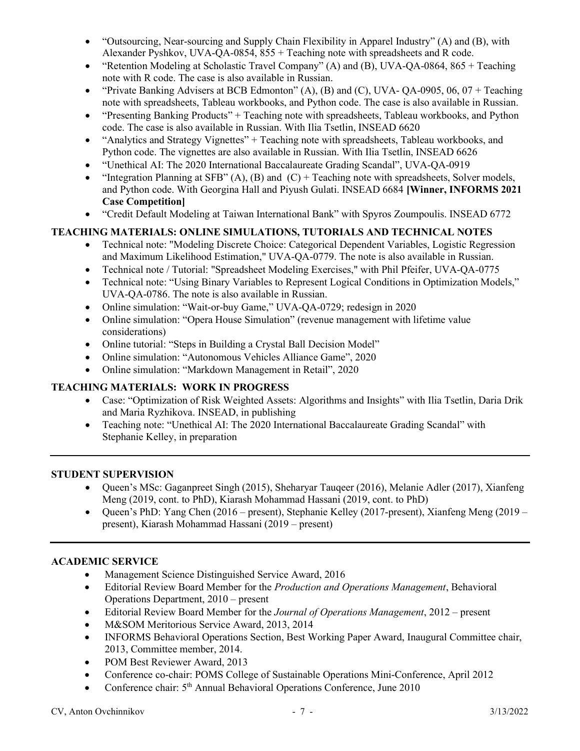- "Outsourcing, Near-sourcing and Supply Chain Flexibility in Apparel Industry" (A) and (B), with Alexander Pyshkov, UVA-QA-0854, 855 + Teaching note with spreadsheets and R code.
- "Retention Modeling at Scholastic Travel Company" (A) and (B), UVA-QA-0864, 865 + Teaching note with R code. The case is also available in Russian.
- $\bullet$  "Private Banking Advisers at BCB Edmonton" (A), (B) and (C), UVA- OA-0905, 06, 07 + Teaching note with spreadsheets, Tableau workbooks, and Python code. The case is also available in Russian.
- "Presenting Banking Products" + Teaching note with spreadsheets, Tableau workbooks, and Python code. The case is also available in Russian. With Ilia Tsetlin, INSEAD 6620
- "Analytics and Strategy Vignettes" + Teaching note with spreadsheets, Tableau workbooks, and Python code. The vignettes are also available in Russian. With Ilia Tsetlin, INSEAD 6626
- "Unethical AI: The 2020 International Baccalaureate Grading Scandal", UVA-QA-0919
- "Integration Planning at SFB" (A), (B) and  $(C)$  + Teaching note with spreadsheets, Solver models, and Python code. With Georgina Hall and Piyush Gulati. INSEAD 6684 [Winner, INFORMS 2021 Case Competition]
- "Credit Default Modeling at Taiwan International Bank" with Spyros Zoumpoulis. INSEAD 6772

## TEACHING MATERIALS: ONLINE SIMULATIONS, TUTORIALS AND TECHNICAL NOTES

- Technical note: "Modeling Discrete Choice: Categorical Dependent Variables, Logistic Regression and Maximum Likelihood Estimation," UVA-QA-0779. The note is also available in Russian.
- Technical note / Tutorial: "Spreadsheet Modeling Exercises," with Phil Pfeifer, UVA-QA-0775
- Technical note: "Using Binary Variables to Represent Logical Conditions in Optimization Models," UVA-QA-0786. The note is also available in Russian.
- Online simulation: "Wait-or-buy Game," UVA-QA-0729; redesign in 2020
- Online simulation: "Opera House Simulation" (revenue management with lifetime value considerations)
- Online tutorial: "Steps in Building a Crystal Ball Decision Model"
- Online simulation: "Autonomous Vehicles Alliance Game", 2020
- Online simulation: "Markdown Management in Retail", 2020

## TEACHING MATERIALS: WORK IN PROGRESS

- Case: "Optimization of Risk Weighted Assets: Algorithms and Insights" with Ilia Tsetlin, Daria Drik and Maria Ryzhikova. INSEAD, in publishing
- Teaching note: "Unethical AI: The 2020 International Baccalaureate Grading Scandal" with Stephanie Kelley, in preparation

## STUDENT SUPERVISION

- Queen's MSc: Gaganpreet Singh (2015), Sheharyar Tauqeer (2016), Melanie Adler (2017), Xianfeng Meng (2019, cont. to PhD), Kiarash Mohammad Hassani (2019, cont. to PhD)
- Queen's PhD: Yang Chen  $(2016 present)$ , Stephanie Kelley  $(2017 present)$ , Xianfeng Meng  $(2019$ present), Kiarash Mohammad Hassani (2019 – present)

## ACADEMIC SERVICE

- Management Science Distinguished Service Award, 2016
- Editorial Review Board Member for the *Production and Operations Management*, Behavioral Operations Department, 2010 – present
- Editorial Review Board Member for the *Journal of Operations Management*,  $2012$  present
- M&SOM Meritorious Service Award, 2013, 2014
- INFORMS Behavioral Operations Section, Best Working Paper Award, Inaugural Committee chair, 2013, Committee member, 2014.
- POM Best Reviewer Award, 2013
- Conference co-chair: POMS College of Sustainable Operations Mini-Conference, April 2012
- Conference chair: 5<sup>th</sup> Annual Behavioral Operations Conference, June 2010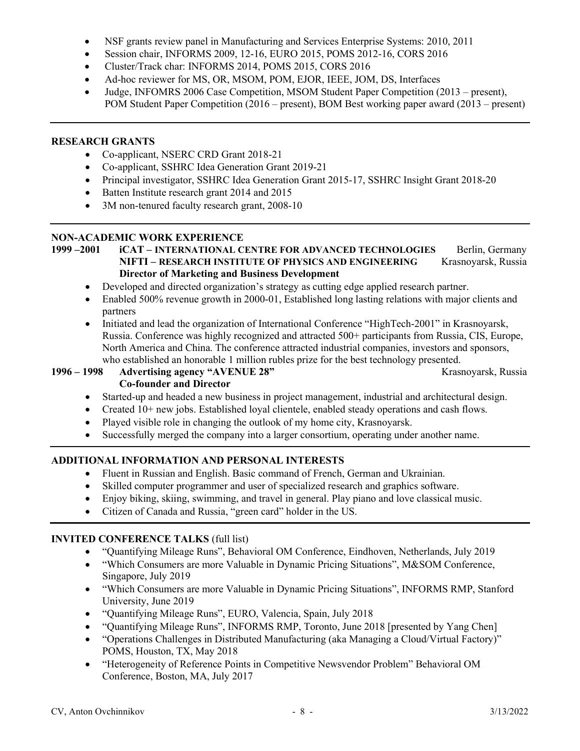- NSF grants review panel in Manufacturing and Services Enterprise Systems: 2010, 2011
- Session chair, INFORMS 2009, 12-16, EURO 2015, POMS 2012-16, CORS 2016
- Cluster/Track char: INFORMS 2014, POMS 2015, CORS 2016
- Ad-hoc reviewer for MS, OR, MSOM, POM, EJOR, IEEE, JOM, DS, Interfaces
- Judge, INFOMRS 2006 Case Competition, MSOM Student Paper Competition (2013 present), POM Student Paper Competition (2016 – present), BOM Best working paper award (2013 – present)

## RESEARCH GRANTS

- Co-applicant, NSERC CRD Grant 2018-21
- Co-applicant, SSHRC Idea Generation Grant 2019-21
- Principal investigator, SSHRC Idea Generation Grant 2015-17, SSHRC Insight Grant 2018-20
- Batten Institute research grant 2014 and 2015
- 3M non-tenured faculty research grant, 2008-10

#### NON-ACADEMIC WORK EXPERIENCE

```
1999 –2001 iCAT – INTERNATIONAL CENTRE FOR ADVANCED TECHNOLOGIES Berlin, Germany
NIFTI – RESEARCH INSTITUTE OF PHYSICS AND ENGINEERING Krasnoyarsk, Russia
Director of Marketing and Business Development
```
- Developed and directed organization's strategy as cutting edge applied research partner.
- Enabled 500% revenue growth in 2000-01, Established long lasting relations with major clients and partners
- Initiated and lead the organization of International Conference "HighTech-2001" in Krasnoyarsk, Russia. Conference was highly recognized and attracted 500+ participants from Russia, CIS, Europe, North America and China. The conference attracted industrial companies, investors and sponsors, who established an honorable 1 million rubles prize for the best technology presented.

#### 1996 – 1998 Advertising agency "AVENUE 28" Krasnoyarsk, Russia Co-founder and Director

- Started-up and headed a new business in project management, industrial and architectural design.
- Created 10+ new jobs. Established loyal clientele, enabled steady operations and cash flows.
- Played visible role in changing the outlook of my home city, Krasnoyarsk.
- Successfully merged the company into a larger consortium, operating under another name.

## ADDITIONAL INFORMATION AND PERSONAL INTERESTS

- Fluent in Russian and English. Basic command of French, German and Ukrainian.
- Skilled computer programmer and user of specialized research and graphics software.
- Enjoy biking, skiing, swimming, and travel in general. Play piano and love classical music.
- Citizen of Canada and Russia, "green card" holder in the US.

## INVITED CONFERENCE TALKS (full list)

- "Quantifying Mileage Runs", Behavioral OM Conference, Eindhoven, Netherlands, July 2019
- "Which Consumers are more Valuable in Dynamic Pricing Situations", M&SOM Conference, Singapore, July 2019
- "Which Consumers are more Valuable in Dynamic Pricing Situations", INFORMS RMP, Stanford University, June 2019
- "Quantifying Mileage Runs", EURO, Valencia, Spain, July 2018
- "Quantifying Mileage Runs", INFORMS RMP, Toronto, June 2018 [presented by Yang Chen]
- "Operations Challenges in Distributed Manufacturing (aka Managing a Cloud/Virtual Factory)" POMS, Houston, TX, May 2018
- "Heterogeneity of Reference Points in Competitive Newsvendor Problem" Behavioral OM Conference, Boston, MA, July 2017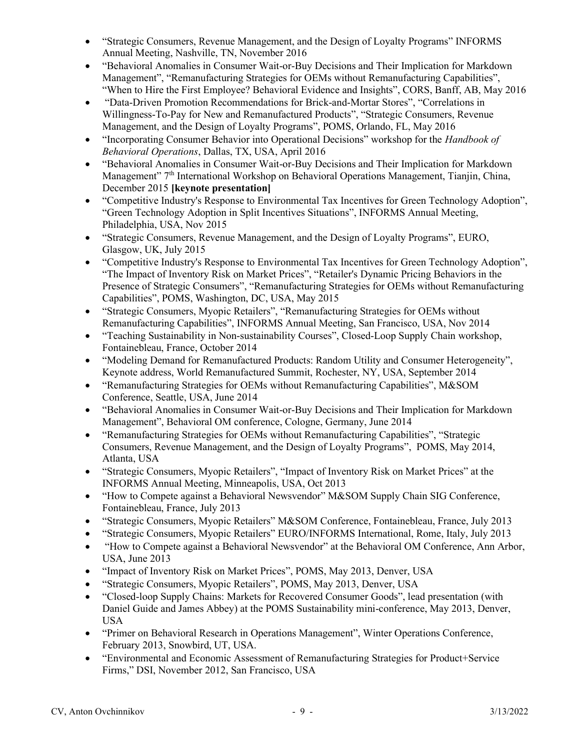- "Strategic Consumers, Revenue Management, and the Design of Loyalty Programs" INFORMS Annual Meeting, Nashville, TN, November 2016
- "Behavioral Anomalies in Consumer Wait-or-Buy Decisions and Their Implication for Markdown Management", "Remanufacturing Strategies for OEMs without Remanufacturing Capabilities", "When to Hire the First Employee? Behavioral Evidence and Insights", CORS, Banff, AB, May 2016
- "Data-Driven Promotion Recommendations for Brick-and-Mortar Stores", "Correlations in Willingness-To-Pay for New and Remanufactured Products", "Strategic Consumers, Revenue Management, and the Design of Loyalty Programs", POMS, Orlando, FL, May 2016
- "Incorporating Consumer Behavior into Operational Decisions" workshop for the *Handbook of* Behavioral Operations, Dallas, TX, USA, April 2016
- "Behavioral Anomalies in Consumer Wait-or-Buy Decisions and Their Implication for Markdown Management" 7<sup>th</sup> International Workshop on Behavioral Operations Management, Tianjin, China, December 2015 [keynote presentation]
- "Competitive Industry's Response to Environmental Tax Incentives for Green Technology Adoption", "Green Technology Adoption in Split Incentives Situations", INFORMS Annual Meeting, Philadelphia, USA, Nov 2015
- "Strategic Consumers, Revenue Management, and the Design of Loyalty Programs", EURO, Glasgow, UK, July 2015
- "Competitive Industry's Response to Environmental Tax Incentives for Green Technology Adoption", "The Impact of Inventory Risk on Market Prices", "Retailer's Dynamic Pricing Behaviors in the Presence of Strategic Consumers", "Remanufacturing Strategies for OEMs without Remanufacturing Capabilities", POMS, Washington, DC, USA, May 2015
- "Strategic Consumers, Myopic Retailers", "Remanufacturing Strategies for OEMs without Remanufacturing Capabilities", INFORMS Annual Meeting, San Francisco, USA, Nov 2014
- "Teaching Sustainability in Non-sustainability Courses", Closed-Loop Supply Chain workshop, Fontainebleau, France, October 2014
- "Modeling Demand for Remanufactured Products: Random Utility and Consumer Heterogeneity", Keynote address, World Remanufactured Summit, Rochester, NY, USA, September 2014
- "Remanufacturing Strategies for OEMs without Remanufacturing Capabilities", M&SOM Conference, Seattle, USA, June 2014
- "Behavioral Anomalies in Consumer Wait-or-Buy Decisions and Their Implication for Markdown Management", Behavioral OM conference, Cologne, Germany, June 2014
- "Remanufacturing Strategies for OEMs without Remanufacturing Capabilities", "Strategic Consumers, Revenue Management, and the Design of Loyalty Programs", POMS, May 2014, Atlanta, USA
- "Strategic Consumers, Myopic Retailers", "Impact of Inventory Risk on Market Prices" at the INFORMS Annual Meeting, Minneapolis, USA, Oct 2013
- "How to Compete against a Behavioral Newsvendor" M&SOM Supply Chain SIG Conference, Fontainebleau, France, July 2013
- "Strategic Consumers, Myopic Retailers" M&SOM Conference, Fontainebleau, France, July 2013
- "Strategic Consumers, Myopic Retailers" EURO/INFORMS International, Rome, Italy, July 2013
- "How to Compete against a Behavioral Newsvendor" at the Behavioral OM Conference, Ann Arbor, USA, June 2013
- "Impact of Inventory Risk on Market Prices", POMS, May 2013, Denver, USA
- "Strategic Consumers, Myopic Retailers", POMS, May 2013, Denver, USA
- "Closed-loop Supply Chains: Markets for Recovered Consumer Goods", lead presentation (with Daniel Guide and James Abbey) at the POMS Sustainability mini-conference, May 2013, Denver, USA
- "Primer on Behavioral Research in Operations Management", Winter Operations Conference, February 2013, Snowbird, UT, USA.
- "Environmental and Economic Assessment of Remanufacturing Strategies for Product+Service Firms," DSI, November 2012, San Francisco, USA